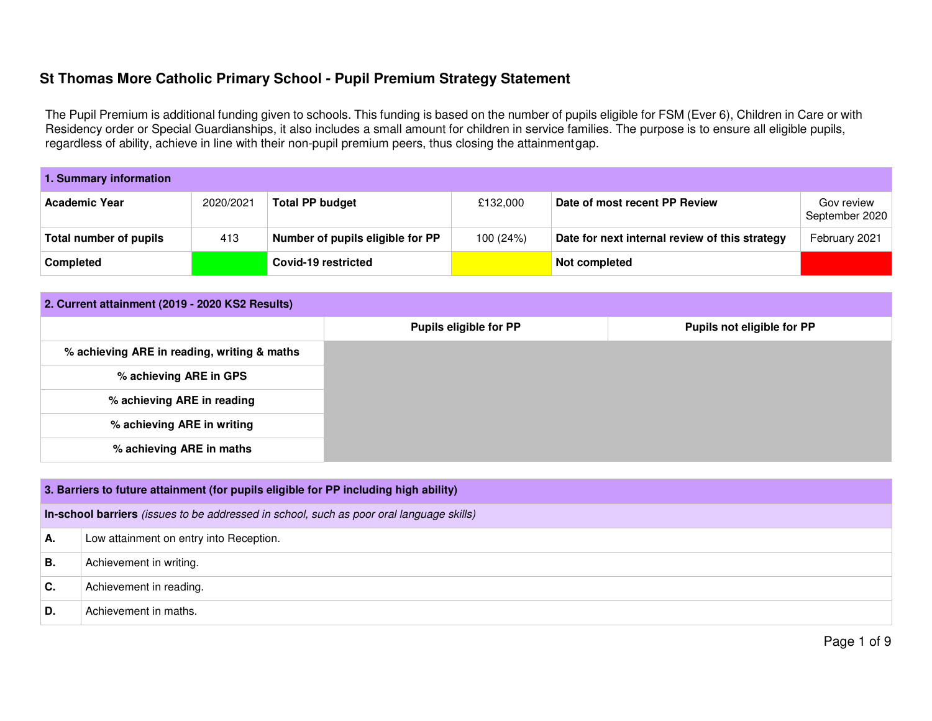The Pupil Premium is additional funding given to schools. This funding is based on the number of pupils eligible for FSM (Ever 6), Children in Care or with Residency order or Special Guardianships, it also includes a small amount for children in service families. The purpose is to ensure all eligible pupils,regardless of ability, achieve in line with their non-pupil premium peers, thus closing the attainment gap.

| 1. Summary information |           |                                  |           |                                                |                              |  |  |
|------------------------|-----------|----------------------------------|-----------|------------------------------------------------|------------------------------|--|--|
| <b>Academic Year</b>   | 2020/2021 | <b>Total PP budget</b>           | £132.000  | Date of most recent PP Review                  | Gov review<br>September 2020 |  |  |
| Total number of pupils | 413       | Number of pupils eligible for PP | 100 (24%) | Date for next internal review of this strategy | February 2021                |  |  |
| <b>Completed</b>       |           | Covid-19 restricted              |           | Not completed                                  |                              |  |  |

| 2. Current attainment (2019 - 2020 KS2 Results) |                               |                            |  |  |  |  |
|-------------------------------------------------|-------------------------------|----------------------------|--|--|--|--|
|                                                 | <b>Pupils eligible for PP</b> | Pupils not eligible for PP |  |  |  |  |
| % achieving ARE in reading, writing & maths     |                               |                            |  |  |  |  |
| % achieving ARE in GPS                          |                               |                            |  |  |  |  |
| % achieving ARE in reading                      |                               |                            |  |  |  |  |
| % achieving ARE in writing                      |                               |                            |  |  |  |  |
| % achieving ARE in maths                        |                               |                            |  |  |  |  |

|    | 3. Barriers to future attainment (for pupils eligible for PP including high ability)     |  |  |  |  |
|----|------------------------------------------------------------------------------------------|--|--|--|--|
|    | In-school barriers (issues to be addressed in school, such as poor oral language skills) |  |  |  |  |
| А. | Low attainment on entry into Reception.                                                  |  |  |  |  |
| В. | Achievement in writing.                                                                  |  |  |  |  |
| C. | Achievement in reading.                                                                  |  |  |  |  |
| D. | Achievement in maths.                                                                    |  |  |  |  |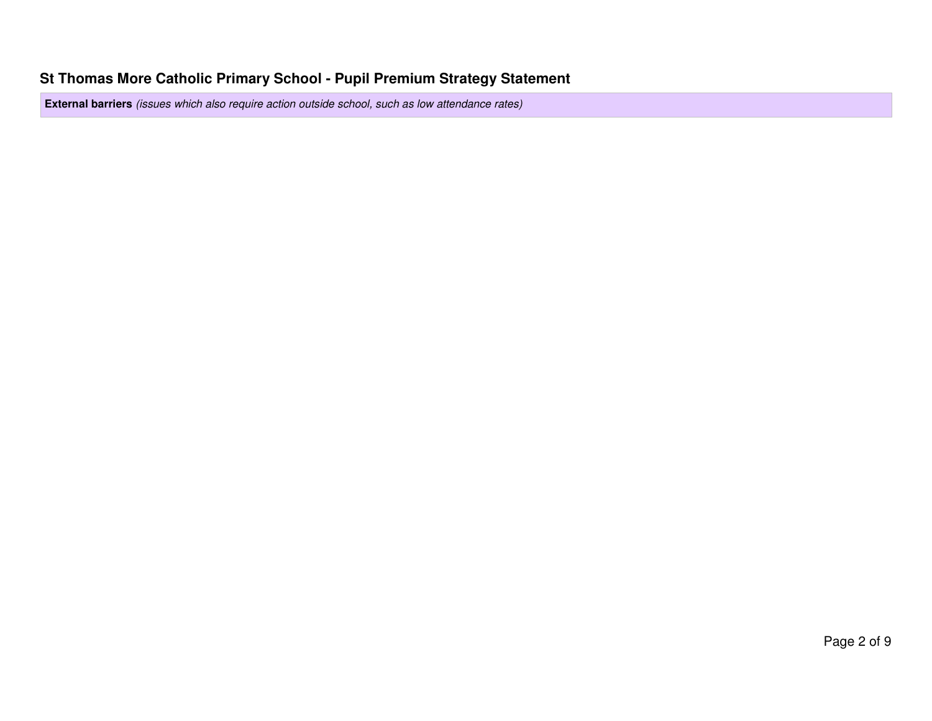**External barriers** (issues which also require action outside school, such as low attendance rates)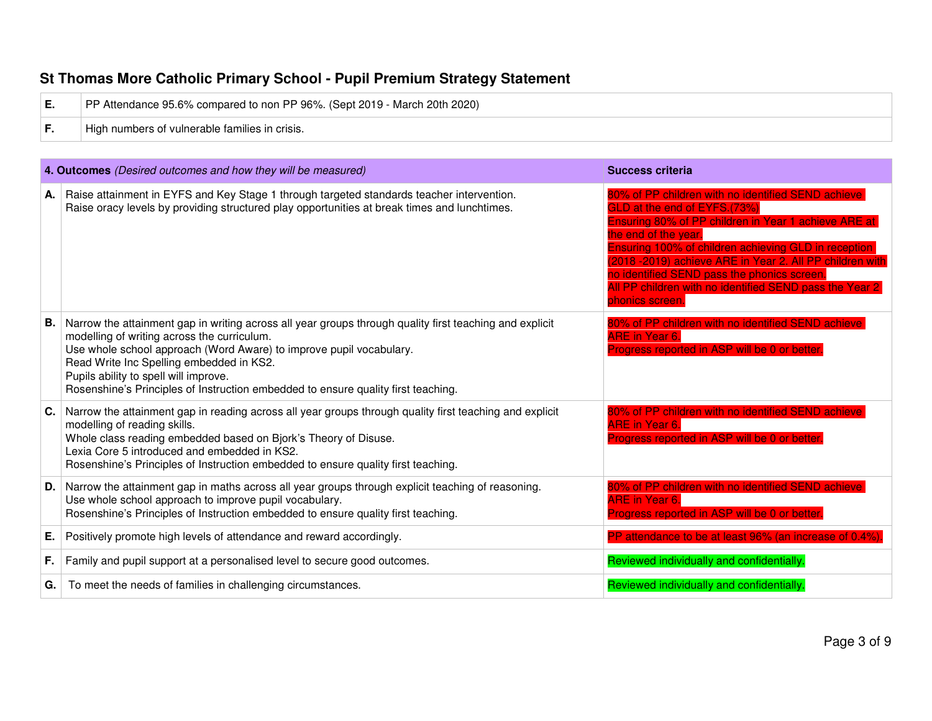# **St Thomas More Catholic Primary School - Pupil Premium Strategy Statement E.** PP Attendance 95.6% compared to non PP 96%. (Sept 2019 - March 20th 2020) **F. High numbers of vulnerable families in crisis.**

|    | 4. Outcomes (Desired outcomes and how they will be measured)                                                                                                                                                                                                                                                                                                                                            | <b>Success criteria</b>                                                                                                                                                                                                                                                                                                                                                                                              |
|----|---------------------------------------------------------------------------------------------------------------------------------------------------------------------------------------------------------------------------------------------------------------------------------------------------------------------------------------------------------------------------------------------------------|----------------------------------------------------------------------------------------------------------------------------------------------------------------------------------------------------------------------------------------------------------------------------------------------------------------------------------------------------------------------------------------------------------------------|
|    | A. Raise attainment in EYFS and Key Stage 1 through targeted standards teacher intervention.<br>Raise oracy levels by providing structured play opportunities at break times and lunchtimes.                                                                                                                                                                                                            | 80% of PP children with no identified SEND achieve<br>GLD at the end of EYFS.(73%)<br>Ensuring 80% of PP children in Year 1 achieve ARE at<br>the end of the year.<br>Ensuring 100% of children achieving GLD in reception<br>(2018 - 2019) achieve ARE in Year 2. All PP children with<br>no identified SEND pass the phonics screen.<br>All PP children with no identified SEND pass the Year 2<br>phonics screen. |
| В. | Narrow the attainment gap in writing across all year groups through quality first teaching and explicit<br>modelling of writing across the curriculum.<br>Use whole school approach (Word Aware) to improve pupil vocabulary.<br>Read Write Inc Spelling embedded in KS2.<br>Pupils ability to spell will improve.<br>Rosenshine's Principles of Instruction embedded to ensure quality first teaching. | 80% of PP children with no identified SEND achieve<br><b>ARE in Year 6.</b><br>Progress reported in ASP will be 0 or better.                                                                                                                                                                                                                                                                                         |
| C. | Narrow the attainment gap in reading across all year groups through quality first teaching and explicit<br>modelling of reading skills.<br>Whole class reading embedded based on Bjork's Theory of Disuse.<br>Lexia Core 5 introduced and embedded in KS2.<br>Rosenshine's Principles of Instruction embedded to ensure quality first teaching.                                                         | 80% of PP children with no identified SEND achieve<br><b>ARE in Year 6.</b><br>Progress reported in ASP will be 0 or better.                                                                                                                                                                                                                                                                                         |
| D. | Narrow the attainment gap in maths across all year groups through explicit teaching of reasoning.<br>Use whole school approach to improve pupil vocabulary.<br>Rosenshine's Principles of Instruction embedded to ensure quality first teaching.                                                                                                                                                        | 80% of PP children with no identified SEND achiev<br><b>ARE in Year 6.</b><br>Progress reported in ASP will be 0 or better.                                                                                                                                                                                                                                                                                          |
| Е. | Positively promote high levels of attendance and reward accordingly.                                                                                                                                                                                                                                                                                                                                    | PP attendance to be at least 96% (an increase of 0.4%).                                                                                                                                                                                                                                                                                                                                                              |
| F. | Family and pupil support at a personalised level to secure good outcomes.                                                                                                                                                                                                                                                                                                                               | Reviewed individually and confidentially.                                                                                                                                                                                                                                                                                                                                                                            |
| G. | To meet the needs of families in challenging circumstances.                                                                                                                                                                                                                                                                                                                                             | Reviewed individually and confidentially.                                                                                                                                                                                                                                                                                                                                                                            |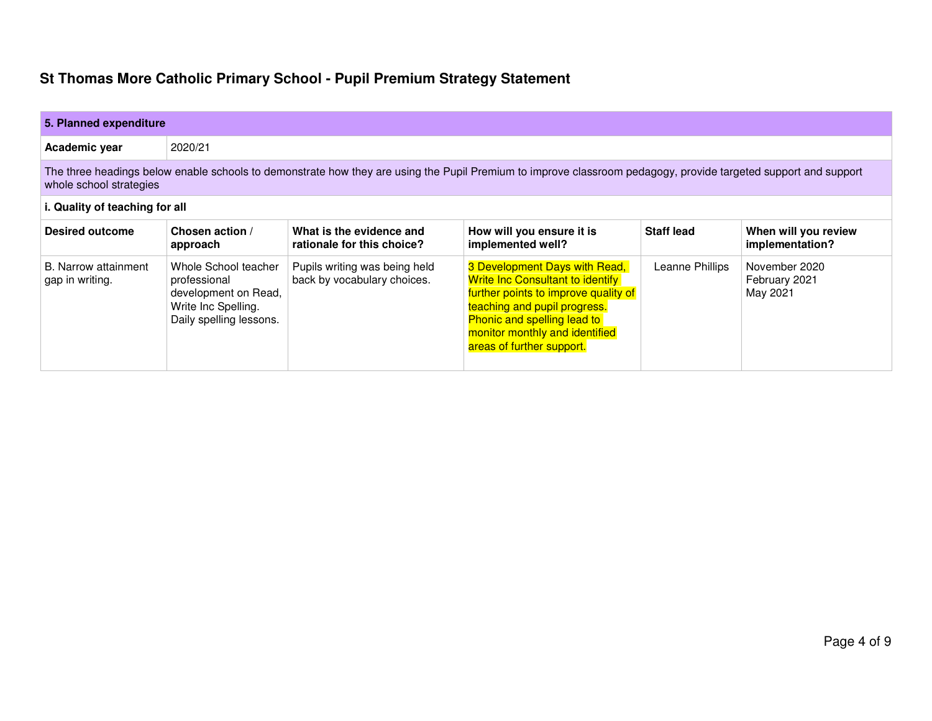| 5. Planned expenditure                                                                                                                                                                     |                                                                                                                |                                                              |                                                                                                                                                                                                                                                       |                   |                                            |
|--------------------------------------------------------------------------------------------------------------------------------------------------------------------------------------------|----------------------------------------------------------------------------------------------------------------|--------------------------------------------------------------|-------------------------------------------------------------------------------------------------------------------------------------------------------------------------------------------------------------------------------------------------------|-------------------|--------------------------------------------|
| Academic year                                                                                                                                                                              | 2020/21                                                                                                        |                                                              |                                                                                                                                                                                                                                                       |                   |                                            |
| The three headings below enable schools to demonstrate how they are using the Pupil Premium to improve classroom pedagogy, provide targeted support and support<br>whole school strategies |                                                                                                                |                                                              |                                                                                                                                                                                                                                                       |                   |                                            |
| i. Quality of teaching for all                                                                                                                                                             |                                                                                                                |                                                              |                                                                                                                                                                                                                                                       |                   |                                            |
| Desired outcome                                                                                                                                                                            | Chosen action /<br>approach                                                                                    | What is the evidence and<br>rationale for this choice?       | How will you ensure it is<br>implemented well?                                                                                                                                                                                                        | <b>Staff lead</b> | When will you review<br>implementation?    |
| B. Narrow attainment<br>gap in writing.                                                                                                                                                    | Whole School teacher<br>professional<br>development on Read,<br>Write Inc Spelling.<br>Daily spelling lessons. | Pupils writing was being held<br>back by vocabulary choices. | 3 Development Days with Read,<br><b>Write Inc Consultant to identify</b><br>further points to improve quality of<br>teaching and pupil progress.<br><b>Phonic and spelling lead to</b><br>monitor monthly and identified<br>areas of further support. | Leanne Phillips   | November 2020<br>February 2021<br>May 2021 |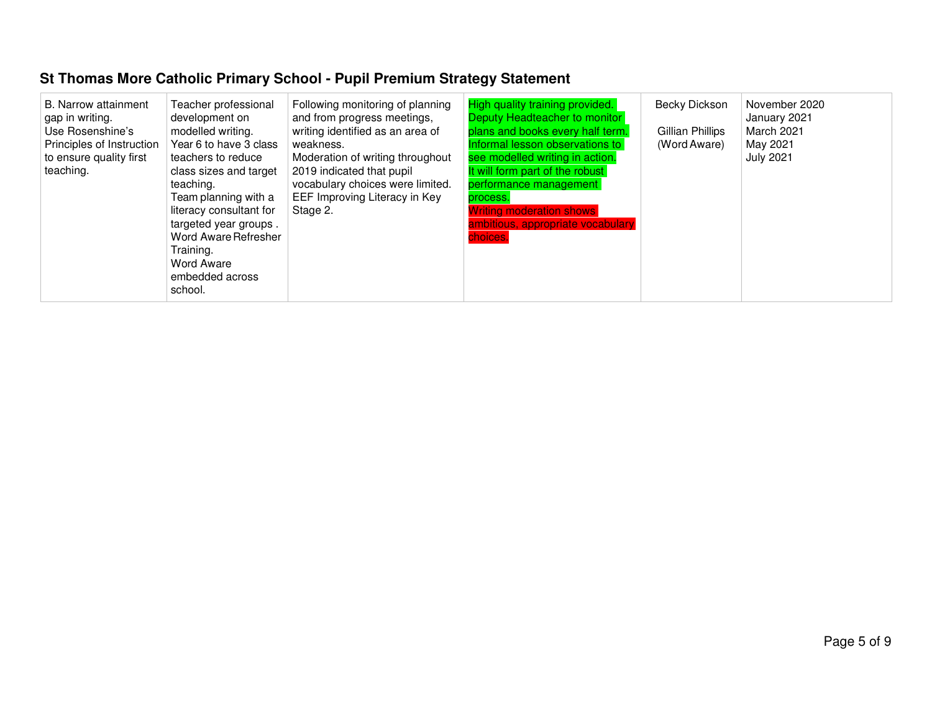| B. Narrow attainment<br>gap in writing.<br>Use Rosenshine's<br>Principles of Instruction<br>to ensure quality first<br>teaching. | Teacher professional<br>development on<br>modelled writing.<br>Year 6 to have 3 class<br>teachers to reduce<br>class sizes and target<br>teaching.<br>Team planning with a<br>literacy consultant for<br>targeted year groups.<br>Word Aware Refresher<br>Training.<br><b>Word Aware</b><br>embedded across<br>school. | Following monitoring of planning<br>and from progress meetings,<br>writing identified as an area of<br>weakness.<br>Moderation of writing throughout<br>2019 indicated that pupil<br>vocabulary choices were limited.<br>EEF Improving Literacy in Key<br>Stage 2. | High quality training provided.<br>Deputy Headteacher to monitor<br>plans and books every half term.<br>Informal lesson observations to<br>see modelled writing in action.<br>It will form part of the robust<br>performance management<br>process.<br><b>Writing moderation shows</b><br>ambitious, appropriate vocabulary<br>choices. | Becky Dickson<br>Gillian Phillips<br>(Word Aware) | November 2020<br>January 2021<br>March 2021<br>May 2021<br><b>July 2021</b> |
|----------------------------------------------------------------------------------------------------------------------------------|------------------------------------------------------------------------------------------------------------------------------------------------------------------------------------------------------------------------------------------------------------------------------------------------------------------------|--------------------------------------------------------------------------------------------------------------------------------------------------------------------------------------------------------------------------------------------------------------------|-----------------------------------------------------------------------------------------------------------------------------------------------------------------------------------------------------------------------------------------------------------------------------------------------------------------------------------------|---------------------------------------------------|-----------------------------------------------------------------------------|
|----------------------------------------------------------------------------------------------------------------------------------|------------------------------------------------------------------------------------------------------------------------------------------------------------------------------------------------------------------------------------------------------------------------------------------------------------------------|--------------------------------------------------------------------------------------------------------------------------------------------------------------------------------------------------------------------------------------------------------------------|-----------------------------------------------------------------------------------------------------------------------------------------------------------------------------------------------------------------------------------------------------------------------------------------------------------------------------------------|---------------------------------------------------|-----------------------------------------------------------------------------|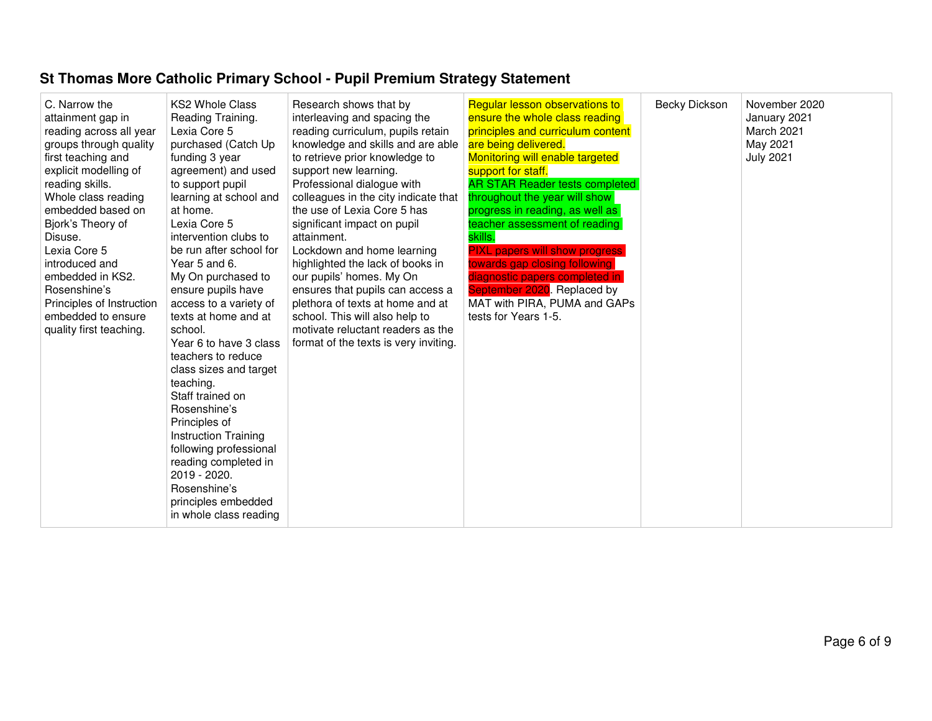| C. Narrow the<br>attainment gap in<br>reading across all year<br>groups through quality<br>first teaching and<br>explicit modelling of<br>reading skills.<br>Whole class reading<br>embedded based on<br>Bjork's Theory of<br>Disuse.<br>Lexia Core 5<br>introduced and<br>embedded in KS2.<br>Rosenshine's<br>Principles of Instruction<br>embedded to ensure<br>quality first teaching. | <b>KS2 Whole Class</b><br>Reading Training.<br>Lexia Core 5<br>purchased (Catch Up<br>funding 3 year<br>agreement) and used<br>to support pupil<br>learning at school and<br>at home.<br>Lexia Core 5<br>intervention clubs to<br>be run after school for<br>Year 5 and 6.<br>My On purchased to<br>ensure pupils have<br>access to a variety of<br>texts at home and at<br>school.<br>Year 6 to have 3 class<br>teachers to reduce<br>class sizes and target<br>teaching.<br>Staff trained on<br>Rosenshine's<br>Principles of<br><b>Instruction Training</b><br>following professional<br>reading completed in<br>2019 - 2020.<br>Rosenshine's<br>principles embedded<br>in whole class reading | Research shows that by<br>interleaving and spacing the<br>reading curriculum, pupils retain<br>knowledge and skills and are able<br>to retrieve prior knowledge to<br>support new learning.<br>Professional dialogue with<br>colleagues in the city indicate that<br>the use of Lexia Core 5 has<br>significant impact on pupil<br>attainment.<br>Lockdown and home learning<br>highlighted the lack of books in<br>our pupils' homes. My On<br>ensures that pupils can access a<br>plethora of texts at home and at<br>school. This will also help to<br>motivate reluctant readers as the<br>format of the texts is very inviting. | <b>Regular lesson observations to</b><br>ensure the whole class reading<br>principles and curriculum content<br>are being delivered.<br>Monitoring will enable targeted<br>support for staff.<br><b>AR STAR Reader tests completed</b><br>throughout the year will show<br>progress in reading, as well as<br>teacher assessment of reading<br>skills.<br><b>PIXL papers will show progress</b><br>towards gap closing following<br>diagnostic papers completed in<br>September 2020. Replaced by<br>MAT with PIRA, PUMA and GAPs<br>tests for Years 1-5. | Becky Dickson | November 2020<br>January 2021<br>March 2021<br>May 2021<br><b>July 2021</b> |
|-------------------------------------------------------------------------------------------------------------------------------------------------------------------------------------------------------------------------------------------------------------------------------------------------------------------------------------------------------------------------------------------|---------------------------------------------------------------------------------------------------------------------------------------------------------------------------------------------------------------------------------------------------------------------------------------------------------------------------------------------------------------------------------------------------------------------------------------------------------------------------------------------------------------------------------------------------------------------------------------------------------------------------------------------------------------------------------------------------|--------------------------------------------------------------------------------------------------------------------------------------------------------------------------------------------------------------------------------------------------------------------------------------------------------------------------------------------------------------------------------------------------------------------------------------------------------------------------------------------------------------------------------------------------------------------------------------------------------------------------------------|-----------------------------------------------------------------------------------------------------------------------------------------------------------------------------------------------------------------------------------------------------------------------------------------------------------------------------------------------------------------------------------------------------------------------------------------------------------------------------------------------------------------------------------------------------------|---------------|-----------------------------------------------------------------------------|
|-------------------------------------------------------------------------------------------------------------------------------------------------------------------------------------------------------------------------------------------------------------------------------------------------------------------------------------------------------------------------------------------|---------------------------------------------------------------------------------------------------------------------------------------------------------------------------------------------------------------------------------------------------------------------------------------------------------------------------------------------------------------------------------------------------------------------------------------------------------------------------------------------------------------------------------------------------------------------------------------------------------------------------------------------------------------------------------------------------|--------------------------------------------------------------------------------------------------------------------------------------------------------------------------------------------------------------------------------------------------------------------------------------------------------------------------------------------------------------------------------------------------------------------------------------------------------------------------------------------------------------------------------------------------------------------------------------------------------------------------------------|-----------------------------------------------------------------------------------------------------------------------------------------------------------------------------------------------------------------------------------------------------------------------------------------------------------------------------------------------------------------------------------------------------------------------------------------------------------------------------------------------------------------------------------------------------------|---------------|-----------------------------------------------------------------------------|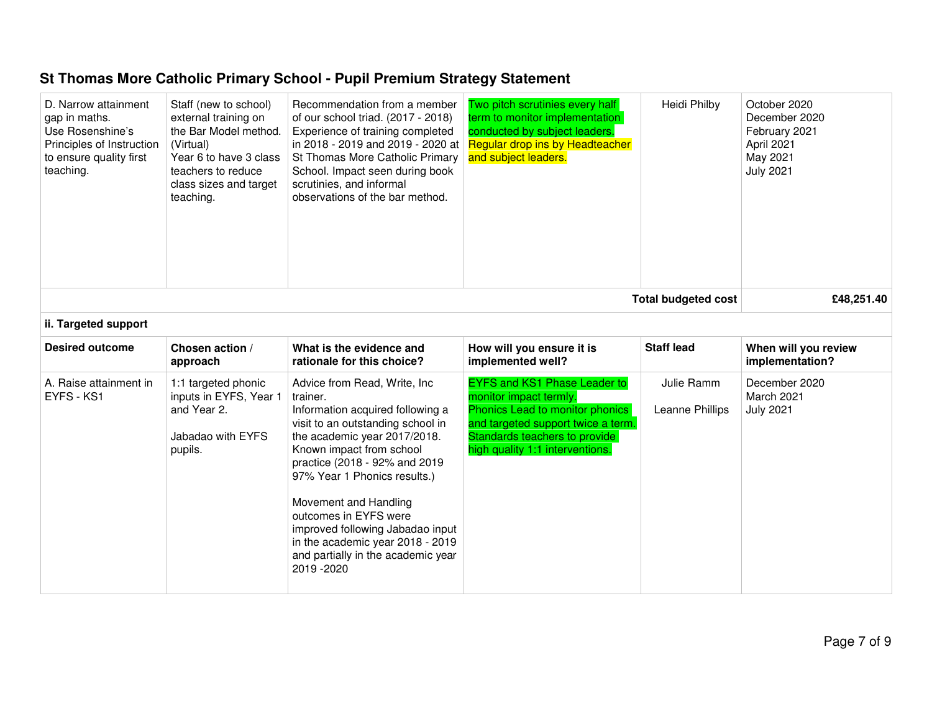| D. Narrow attainment<br>gap in maths.<br>Use Rosenshine's<br>Principles of Instruction<br>to ensure quality first<br>teaching. | Staff (new to school)<br>external training on<br>the Bar Model method.<br>(Virtual)<br>Year 6 to have 3 class<br>teachers to reduce<br>class sizes and target<br>teaching. | Recommendation from a member<br>of our school triad. (2017 - 2018)<br>Experience of training completed<br>in 2018 - 2019 and 2019 - 2020 at<br>St Thomas More Catholic Primary<br>School. Impact seen during book<br>scrutinies, and informal<br>observations of the bar method.                                                                                                                                                | Two pitch scrutinies every half<br>term to monitor implementation<br>conducted by subject leaders.<br>Regular drop ins by Headteacher<br>and subject leaders.                                              | Heidi Philby                  | October 2020<br>December 2020<br>February 2021<br>April 2021<br>May 2021<br><b>July 2021</b> |
|--------------------------------------------------------------------------------------------------------------------------------|----------------------------------------------------------------------------------------------------------------------------------------------------------------------------|---------------------------------------------------------------------------------------------------------------------------------------------------------------------------------------------------------------------------------------------------------------------------------------------------------------------------------------------------------------------------------------------------------------------------------|------------------------------------------------------------------------------------------------------------------------------------------------------------------------------------------------------------|-------------------------------|----------------------------------------------------------------------------------------------|
|                                                                                                                                |                                                                                                                                                                            |                                                                                                                                                                                                                                                                                                                                                                                                                                 |                                                                                                                                                                                                            | <b>Total budgeted cost</b>    | £48,251.40                                                                                   |
| ii. Targeted support                                                                                                           |                                                                                                                                                                            |                                                                                                                                                                                                                                                                                                                                                                                                                                 |                                                                                                                                                                                                            |                               |                                                                                              |
| <b>Desired outcome</b>                                                                                                         | Chosen action /<br>approach                                                                                                                                                | What is the evidence and<br>rationale for this choice?                                                                                                                                                                                                                                                                                                                                                                          | How will you ensure it is<br>implemented well?                                                                                                                                                             | <b>Staff lead</b>             | When will you review<br>implementation?                                                      |
| A. Raise attainment in<br>EYFS - KS1                                                                                           | 1:1 targeted phonic<br>inputs in EYFS, Year 1<br>and Year 2.<br>Jabadao with EYFS<br>pupils.                                                                               | Advice from Read, Write, Inc.<br>trainer.<br>Information acquired following a<br>visit to an outstanding school in<br>the academic year 2017/2018.<br>Known impact from school<br>practice (2018 - 92% and 2019)<br>97% Year 1 Phonics results.)<br>Movement and Handling<br>outcomes in EYFS were<br>improved following Jabadao input<br>in the academic year 2018 - 2019<br>and partially in the academic year<br>2019 - 2020 | <b>EYFS and KS1 Phase Leader to</b><br>monitor impact termly.<br>Phonics Lead to monitor phonics<br>and targeted support twice a term.<br>Standards teachers to provide<br>high quality 1:1 interventions. | Julie Ramm<br>Leanne Phillips | December 2020<br>March 2021<br><b>July 2021</b>                                              |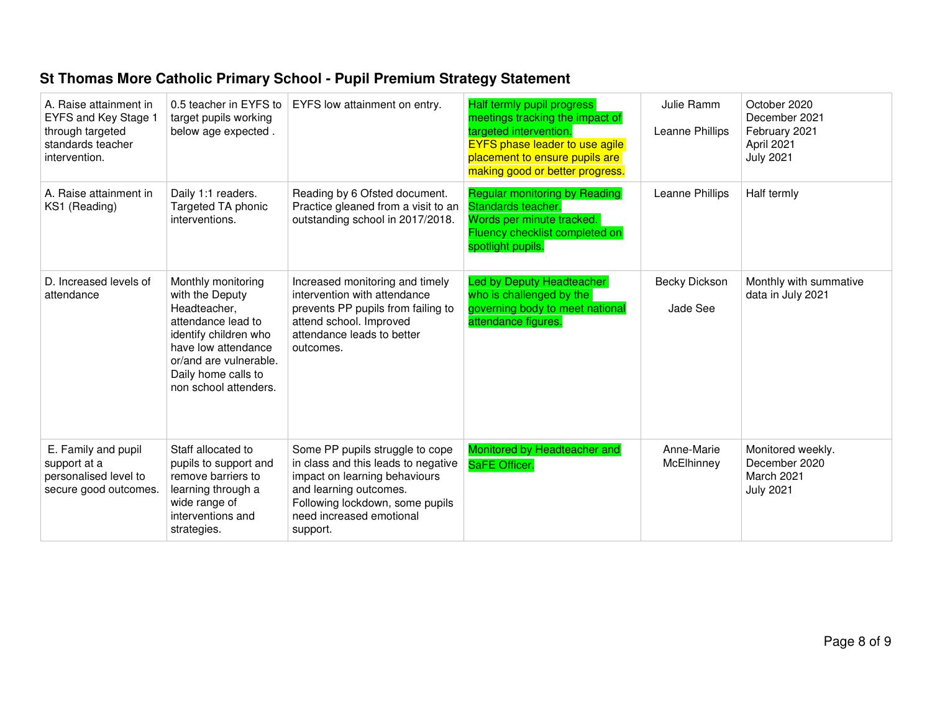| A. Raise attainment in<br>EYFS and Key Stage 1<br>through targeted<br>standards teacher<br>intervention. | 0.5 teacher in EYFS to<br>target pupils working<br>below age expected.                                                                                                                                | EYFS low attainment on entry.                                                                                                                                                                                | Half termly pupil progress<br>meetings tracking the impact of<br>targeted intervention.<br><b>EYFS phase leader to use agile</b><br>placement to ensure pupils are<br>making good or better progress. | Julie Ramm<br>Leanne Phillips | October 2020<br>December 2021<br>February 2021<br>April 2021<br><b>July 2021</b> |
|----------------------------------------------------------------------------------------------------------|-------------------------------------------------------------------------------------------------------------------------------------------------------------------------------------------------------|--------------------------------------------------------------------------------------------------------------------------------------------------------------------------------------------------------------|-------------------------------------------------------------------------------------------------------------------------------------------------------------------------------------------------------|-------------------------------|----------------------------------------------------------------------------------|
| A. Raise attainment in<br>KS1 (Reading)                                                                  | Daily 1:1 readers.<br>Targeted TA phonic<br>interventions.                                                                                                                                            | Reading by 6 Ofsted document.<br>Practice gleaned from a visit to an<br>outstanding school in 2017/2018.                                                                                                     | <b>Regular monitoring by Reading</b><br>Standards teacher.<br>Words per minute tracked.<br>Fluency checklist completed on<br>spotlight pupils.                                                        | Leanne Phillips               | Half termly                                                                      |
| D. Increased levels of<br>attendance                                                                     | Monthly monitoring<br>with the Deputy<br>Headteacher,<br>attendance lead to<br>identify children who<br>have low attendance<br>or/and are vulnerable.<br>Daily home calls to<br>non school attenders. | Increased monitoring and timely<br>intervention with attendance<br>prevents PP pupils from failing to<br>attend school. Improved<br>attendance leads to better<br>outcomes.                                  | Led by Deputy Headteacher<br>who is challenged by the<br>governing body to meet national<br>attendance figures.                                                                                       | Becky Dickson<br>Jade See     | Monthly with summative<br>data in July 2021                                      |
| E. Family and pupil<br>support at a<br>personalised level to<br>secure good outcomes.                    | Staff allocated to<br>pupils to support and<br>remove barriers to<br>learning through a<br>wide range of<br>interventions and<br>strategies.                                                          | Some PP pupils struggle to cope<br>in class and this leads to negative<br>impact on learning behaviours<br>and learning outcomes.<br>Following lockdown, some pupils<br>need increased emotional<br>support. | Monitored by Headteacher and<br>SaFE Officer.                                                                                                                                                         | Anne-Marie<br>McElhinney      | Monitored weekly.<br>December 2020<br>March 2021<br><b>July 2021</b>             |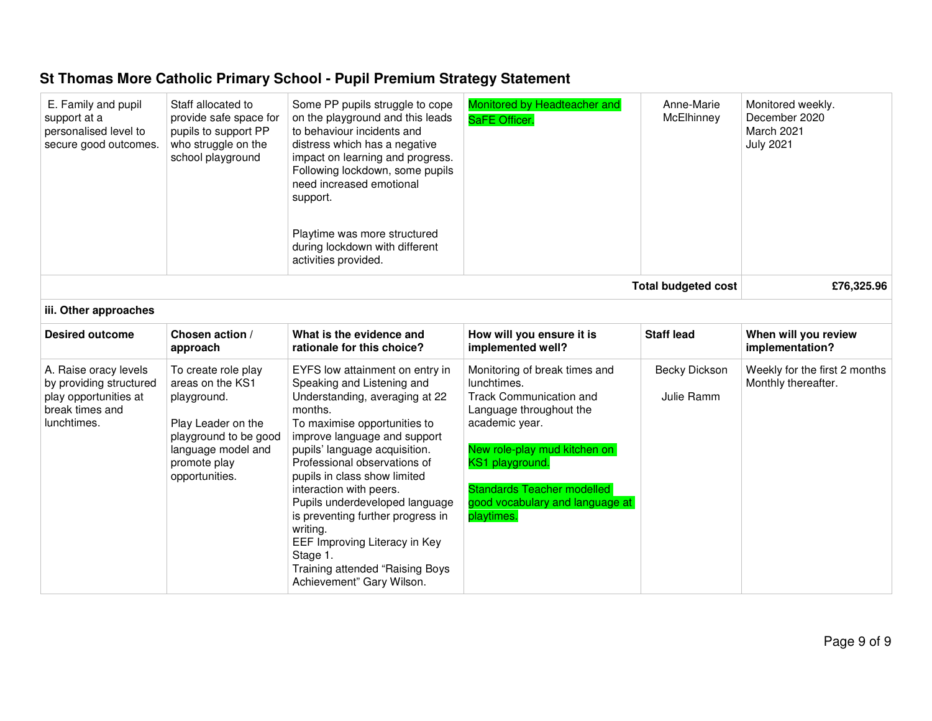| E. Family and pupil<br>support at a<br>personalised level to<br>secure good outcomes.                       | Staff allocated to<br>provide safe space for<br>pupils to support PP<br>who struggle on the<br>school playground                                              | Some PP pupils struggle to cope<br>on the playground and this leads<br>to behaviour incidents and<br>distress which has a negative<br>impact on learning and progress.<br>Following lockdown, some pupils<br>need increased emotional<br>support.<br>Playtime was more structured<br>during lockdown with different<br>activities provided.                                                                                                                                                            | Monitored by Headteacher and<br>SaFE Officer.                                                                                                                                                                                                                 | Anne-Marie<br>McElhinney    | Monitored weekly.<br>December 2020<br>March 2021<br><b>July 2021</b> |
|-------------------------------------------------------------------------------------------------------------|---------------------------------------------------------------------------------------------------------------------------------------------------------------|--------------------------------------------------------------------------------------------------------------------------------------------------------------------------------------------------------------------------------------------------------------------------------------------------------------------------------------------------------------------------------------------------------------------------------------------------------------------------------------------------------|---------------------------------------------------------------------------------------------------------------------------------------------------------------------------------------------------------------------------------------------------------------|-----------------------------|----------------------------------------------------------------------|
|                                                                                                             |                                                                                                                                                               |                                                                                                                                                                                                                                                                                                                                                                                                                                                                                                        |                                                                                                                                                                                                                                                               | <b>Total budgeted cost</b>  | £76,325.96                                                           |
| iii. Other approaches                                                                                       |                                                                                                                                                               |                                                                                                                                                                                                                                                                                                                                                                                                                                                                                                        |                                                                                                                                                                                                                                                               |                             |                                                                      |
| <b>Desired outcome</b>                                                                                      | Chosen action /<br>approach                                                                                                                                   | What is the evidence and<br>rationale for this choice?                                                                                                                                                                                                                                                                                                                                                                                                                                                 | How will you ensure it is<br>implemented well?                                                                                                                                                                                                                | <b>Staff lead</b>           | When will you review<br>implementation?                              |
| A. Raise oracy levels<br>by providing structured<br>play opportunities at<br>break times and<br>lunchtimes. | To create role play<br>areas on the KS1<br>playground.<br>Play Leader on the<br>playground to be good<br>language model and<br>promote play<br>opportunities. | EYFS low attainment on entry in<br>Speaking and Listening and<br>Understanding, averaging at 22<br>months.<br>To maximise opportunities to<br>improve language and support<br>pupils' language acquisition.<br>Professional observations of<br>pupils in class show limited<br>interaction with peers.<br>Pupils underdeveloped language<br>is preventing further progress in<br>writing.<br>EEF Improving Literacy in Key<br>Stage 1.<br>Training attended "Raising Boys<br>Achievement" Gary Wilson. | Monitoring of break times and<br>lunchtimes.<br><b>Track Communication and</b><br>Language throughout the<br>academic year.<br>New role-play mud kitchen on<br>KS1 playground.<br>Standards Teacher modelled<br>good vocabulary and language at<br>playtimes. | Becky Dickson<br>Julie Ramm | Weekly for the first 2 months<br>Monthly thereafter.                 |